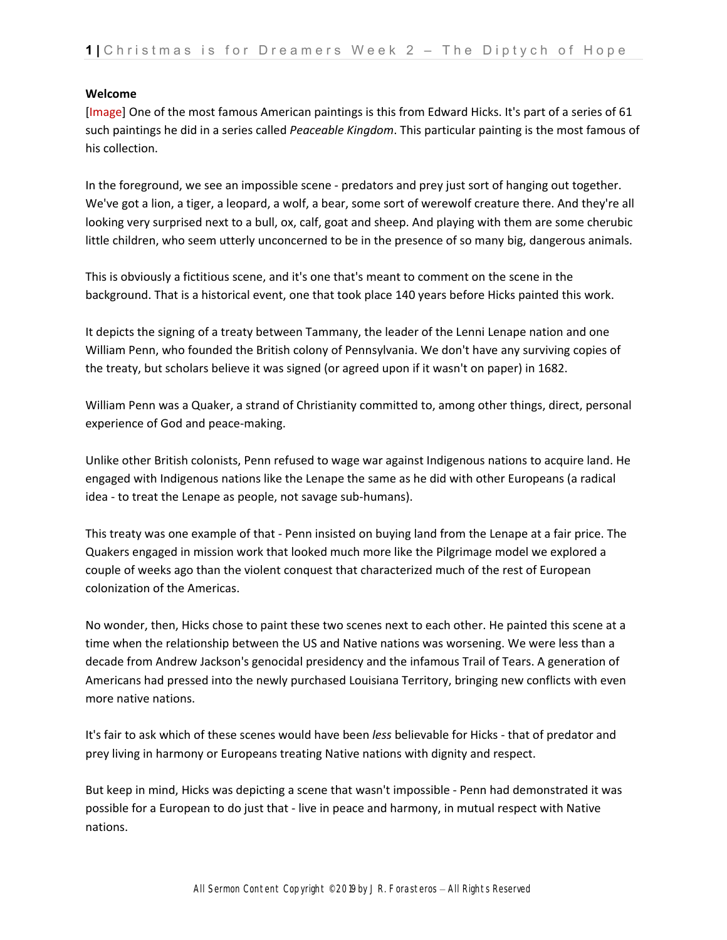## **Welcome**

[Image] One of the most famous American paintings is this from Edward Hicks. It's part of a series of 61 such paintings he did in a series called *Peaceable Kingdom*. This particular painting is the most famous of his collection.

In the foreground, we see an impossible scene ‐ predators and prey just sort of hanging out together. We've got a lion, a tiger, a leopard, a wolf, a bear, some sort of werewolf creature there. And they're all looking very surprised next to a bull, ox, calf, goat and sheep. And playing with them are some cherubic little children, who seem utterly unconcerned to be in the presence of so many big, dangerous animals.

This is obviously a fictitious scene, and it's one that's meant to comment on the scene in the background. That is a historical event, one that took place 140 years before Hicks painted this work.

It depicts the signing of a treaty between Tammany, the leader of the Lenni Lenape nation and one William Penn, who founded the British colony of Pennsylvania. We don't have any surviving copies of the treaty, but scholars believe it was signed (or agreed upon if it wasn't on paper) in 1682.

William Penn was a Quaker, a strand of Christianity committed to, among other things, direct, personal experience of God and peace‐making.

Unlike other British colonists, Penn refused to wage war against Indigenous nations to acquire land. He engaged with Indigenous nations like the Lenape the same as he did with other Europeans (a radical idea ‐ to treat the Lenape as people, not savage sub‐humans).

This treaty was one example of that ‐ Penn insisted on buying land from the Lenape at a fair price. The Quakers engaged in mission work that looked much more like the Pilgrimage model we explored a couple of weeks ago than the violent conquest that characterized much of the rest of European colonization of the Americas.

No wonder, then, Hicks chose to paint these two scenes next to each other. He painted this scene at a time when the relationship between the US and Native nations was worsening. We were less than a decade from Andrew Jackson's genocidal presidency and the infamous Trail of Tears. A generation of Americans had pressed into the newly purchased Louisiana Territory, bringing new conflicts with even more native nations.

It's fair to ask which of these scenes would have been *less* believable for Hicks ‐ that of predator and prey living in harmony or Europeans treating Native nations with dignity and respect.

But keep in mind, Hicks was depicting a scene that wasn't impossible ‐ Penn had demonstrated it was possible for a European to do just that ‐ live in peace and harmony, in mutual respect with Native nations.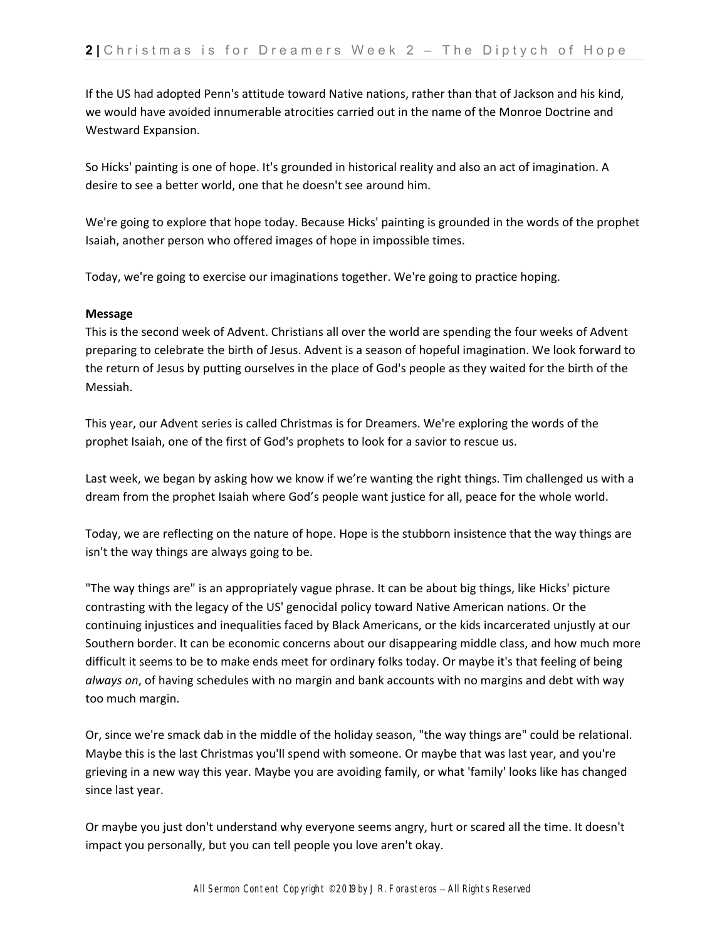If the US had adopted Penn's attitude toward Native nations, rather than that of Jackson and his kind, we would have avoided innumerable atrocities carried out in the name of the Monroe Doctrine and Westward Expansion.

So Hicks' painting is one of hope. It's grounded in historical reality and also an act of imagination. A desire to see a better world, one that he doesn't see around him.

We're going to explore that hope today. Because Hicks' painting is grounded in the words of the prophet Isaiah, another person who offered images of hope in impossible times.

Today, we're going to exercise our imaginations together. We're going to practice hoping.

## **Message**

This is the second week of Advent. Christians all over the world are spending the four weeks of Advent preparing to celebrate the birth of Jesus. Advent is a season of hopeful imagination. We look forward to the return of Jesus by putting ourselves in the place of God's people as they waited for the birth of the Messiah.

This year, our Advent series is called Christmas is for Dreamers. We're exploring the words of the prophet Isaiah, one of the first of God's prophets to look for a savior to rescue us.

Last week, we began by asking how we know if we're wanting the right things. Tim challenged us with a dream from the prophet Isaiah where God's people want justice for all, peace for the whole world.

Today, we are reflecting on the nature of hope. Hope is the stubborn insistence that the way things are isn't the way things are always going to be.

"The way things are" is an appropriately vague phrase. It can be about big things, like Hicks' picture contrasting with the legacy of the US' genocidal policy toward Native American nations. Or the continuing injustices and inequalities faced by Black Americans, or the kids incarcerated unjustly at our Southern border. It can be economic concerns about our disappearing middle class, and how much more difficult it seems to be to make ends meet for ordinary folks today. Or maybe it's that feeling of being *always on*, of having schedules with no margin and bank accounts with no margins and debt with way too much margin.

Or, since we're smack dab in the middle of the holiday season, "the way things are" could be relational. Maybe this is the last Christmas you'll spend with someone. Or maybe that was last year, and you're grieving in a new way this year. Maybe you are avoiding family, or what 'family' looks like has changed since last year.

Or maybe you just don't understand why everyone seems angry, hurt or scared all the time. It doesn't impact you personally, but you can tell people you love aren't okay.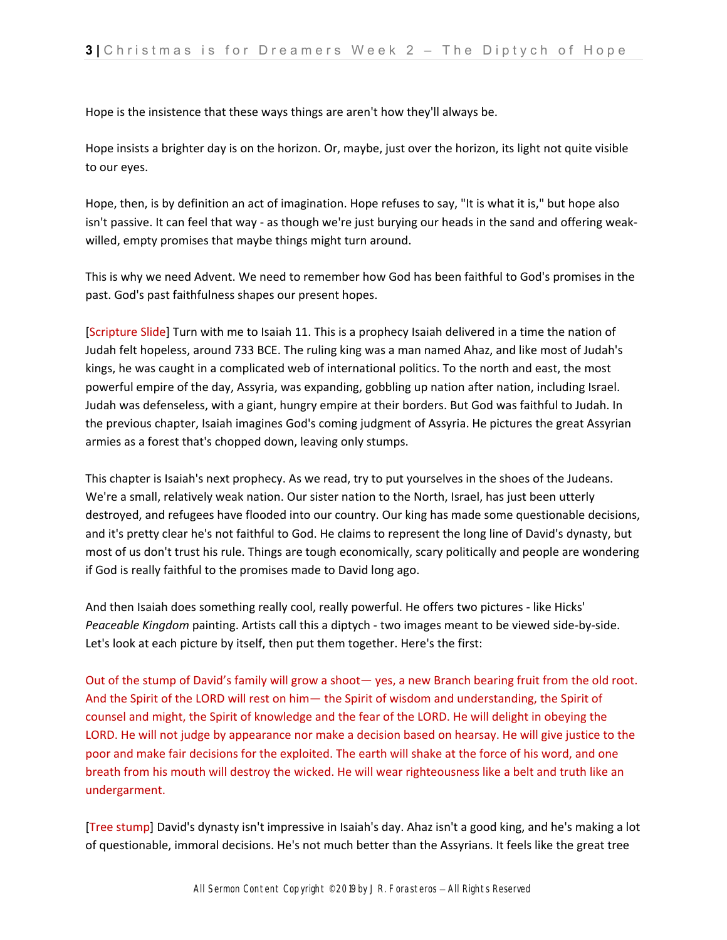Hope is the insistence that these ways things are aren't how they'll always be.

Hope insists a brighter day is on the horizon. Or, maybe, just over the horizon, its light not quite visible to our eyes.

Hope, then, is by definition an act of imagination. Hope refuses to say, "It is what it is," but hope also isn't passive. It can feel that way ‐ as though we're just burying our heads in the sand and offering weak‐ willed, empty promises that maybe things might turn around.

This is why we need Advent. We need to remember how God has been faithful to God's promises in the past. God's past faithfulness shapes our present hopes.

[Scripture Slide] Turn with me to Isaiah 11. This is a prophecy Isaiah delivered in a time the nation of Judah felt hopeless, around 733 BCE. The ruling king was a man named Ahaz, and like most of Judah's kings, he was caught in a complicated web of international politics. To the north and east, the most powerful empire of the day, Assyria, was expanding, gobbling up nation after nation, including Israel. Judah was defenseless, with a giant, hungry empire at their borders. But God was faithful to Judah. In the previous chapter, Isaiah imagines God's coming judgment of Assyria. He pictures the great Assyrian armies as a forest that's chopped down, leaving only stumps.

This chapter is Isaiah's next prophecy. As we read, try to put yourselves in the shoes of the Judeans. We're a small, relatively weak nation. Our sister nation to the North, Israel, has just been utterly destroyed, and refugees have flooded into our country. Our king has made some questionable decisions, and it's pretty clear he's not faithful to God. He claims to represent the long line of David's dynasty, but most of us don't trust his rule. Things are tough economically, scary politically and people are wondering if God is really faithful to the promises made to David long ago.

And then Isaiah does something really cool, really powerful. He offers two pictures ‐ like Hicks' *Peaceable Kingdom* painting. Artists call this a diptych ‐ two images meant to be viewed side‐by‐side. Let's look at each picture by itself, then put them together. Here's the first:

Out of the stump of David's family will grow a shoot— yes, a new Branch bearing fruit from the old root. And the Spirit of the LORD will rest on him— the Spirit of wisdom and understanding, the Spirit of counsel and might, the Spirit of knowledge and the fear of the LORD. He will delight in obeying the LORD. He will not judge by appearance nor make a decision based on hearsay. He will give justice to the poor and make fair decisions for the exploited. The earth will shake at the force of his word, and one breath from his mouth will destroy the wicked. He will wear righteousness like a belt and truth like an undergarment.

[Tree stump] David's dynasty isn't impressive in Isaiah's day. Ahaz isn't a good king, and he's making a lot of questionable, immoral decisions. He's not much better than the Assyrians. It feels like the great tree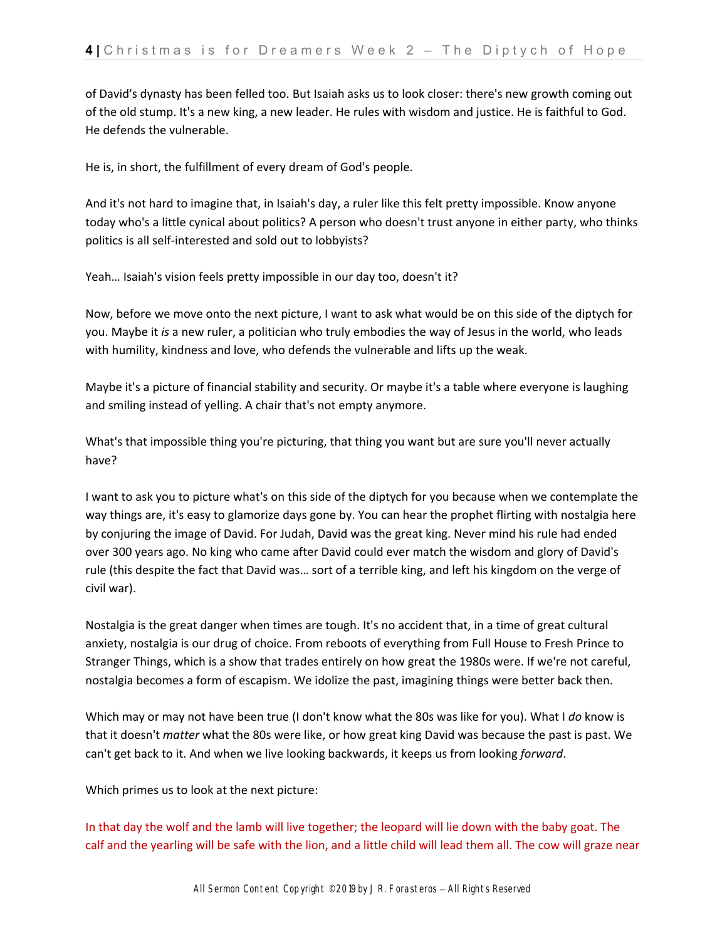of David's dynasty has been felled too. But Isaiah asks us to look closer: there's new growth coming out of the old stump. It's a new king, a new leader. He rules with wisdom and justice. He is faithful to God. He defends the vulnerable.

He is, in short, the fulfillment of every dream of God's people.

And it's not hard to imagine that, in Isaiah's day, a ruler like this felt pretty impossible. Know anyone today who's a little cynical about politics? A person who doesn't trust anyone in either party, who thinks politics is all self‐interested and sold out to lobbyists?

Yeah… Isaiah's vision feels pretty impossible in our day too, doesn't it?

Now, before we move onto the next picture, I want to ask what would be on this side of the diptych for you. Maybe it *is* a new ruler, a politician who truly embodies the way of Jesus in the world, who leads with humility, kindness and love, who defends the vulnerable and lifts up the weak.

Maybe it's a picture of financial stability and security. Or maybe it's a table where everyone is laughing and smiling instead of yelling. A chair that's not empty anymore.

What's that impossible thing you're picturing, that thing you want but are sure you'll never actually have?

I want to ask you to picture what's on this side of the diptych for you because when we contemplate the way things are, it's easy to glamorize days gone by. You can hear the prophet flirting with nostalgia here by conjuring the image of David. For Judah, David was the great king. Never mind his rule had ended over 300 years ago. No king who came after David could ever match the wisdom and glory of David's rule (this despite the fact that David was… sort of a terrible king, and left his kingdom on the verge of civil war).

Nostalgia is the great danger when times are tough. It's no accident that, in a time of great cultural anxiety, nostalgia is our drug of choice. From reboots of everything from Full House to Fresh Prince to Stranger Things, which is a show that trades entirely on how great the 1980s were. If we're not careful, nostalgia becomes a form of escapism. We idolize the past, imagining things were better back then.

Which may or may not have been true (I don't know what the 80s was like for you). What I *do* know is that it doesn't *matter* what the 80s were like, or how great king David was because the past is past. We can't get back to it. And when we live looking backwards, it keeps us from looking *forward*.

Which primes us to look at the next picture:

In that day the wolf and the lamb will live together; the leopard will lie down with the baby goat. The calf and the yearling will be safe with the lion, and a little child will lead them all. The cow will graze near